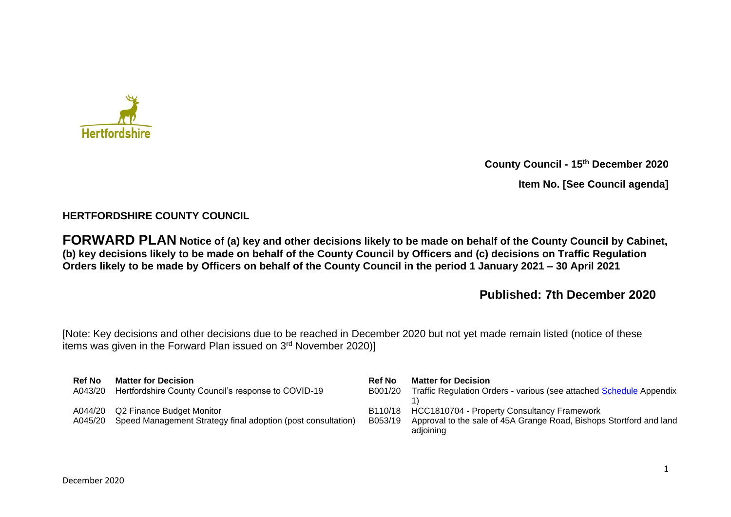

**County Council - 15th December 2020**

**Item No. [See Council agenda]**

# **HERTFORDSHIRE COUNTY COUNCIL**

**FORWARD PLAN Notice of (a) key and other decisions likely to be made on behalf of the County Council by Cabinet, (b) key decisions likely to be made on behalf of the County Council by Officers and (c) decisions on Traffic Regulation Orders likely to be made by Officers on behalf of the County Council in the period 1 January 2021 – 30 April 2021** 

# **Published: 7th December 2020**

[Note: Key decisions and other decisions due to be reached in December 2020 but not yet made remain listed (notice of these items was given in the Forward Plan issued on 3<sup>rd</sup> November 2020)]

| <b>Ref No</b>      | <b>Matter for Decision</b>                                                                | <b>Ref No</b>      | <b>Matter for Decision</b>                                                                                                             |
|--------------------|-------------------------------------------------------------------------------------------|--------------------|----------------------------------------------------------------------------------------------------------------------------------------|
| A043/20            | Hertfordshire County Council's response to COVID-19                                       | B001/20            | Traffic Regulation Orders - various (see attached Schedule Appendix                                                                    |
| A044/20<br>A045/20 | Q2 Finance Budget Monitor<br>Speed Management Strategy final adoption (post consultation) | B110/18<br>B053/19 | <b>HCC1810704 - Property Consultancy Framework</b><br>Approval to the sale of 45A Grange Road, Bishops Stortford and land<br>adjoining |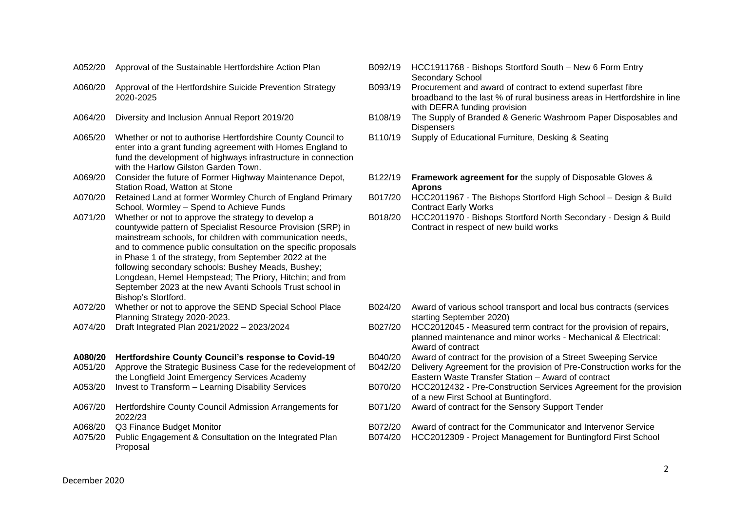- 
- A060/20 Approval of the Hertfordshire Suicide Prevention Strategy 2020-2025
- 
- A065/20 Whether or not to authorise Hertfordshire County Council to enter into a grant funding agreement with Homes England to fund the development of highways infrastructure in connection with the Harlow Gilston Garden Town.
- A069/20 Consider the future of Former Highway Maintenance Depot, Station Road, Watton at Stone
- A070/20 Retained Land at former Wormley Church of England Primary School, Wormley – Spend to Achieve Funds
- A071/20 Whether or not to approve the strategy to develop a countywide pattern of Specialist Resource Provision (SRP) in mainstream schools, for children with communication needs, and to commence public consultation on the specific proposals in Phase 1 of the strategy, from September 2022 at the following secondary schools: Bushey Meads, Bushey; Longdean, Hemel Hempstead; The Priory, Hitchin; and from September 2023 at the new Avanti Schools Trust school in Bishop's Stortford.
- A072/20 Whether or not to approve the SEND Special School Place Planning Strategy 2020-2023.
- 
- 
- A051/20 Approve the Strategic Business Case for the redevelopment of the Longfield Joint Emergency Services Academy
- 
- A067/20 Hertfordshire County Council Admission Arrangements for 2022/23
- 
- A075/20 Public Engagement & Consultation on the Integrated Plan Proposal
- A052/20 Approval of the Sustainable Hertfordshire Action Plan B092/19 HCC1911768 Bishops Stortford South New 6 Form Entry Secondary School
	- B093/19 Procurement and award of contract to extend superfast fibre broadband to the last % of rural business areas in Hertfordshire in line with DEFRA funding provision
- A064/20 Diversity and Inclusion Annual Report 2019/20 B108/19 The Supply of Branded & Generic Washroom Paper Disposables and **Dispensers** 
	- B110/19 Supply of Educational Furniture, Desking & Seating
	- B122/19 **Framework agreement for** the supply of Disposable Gloves & **Aprons**
	- B017/20 HCC2011967 The Bishops Stortford High School Design & Build Contract Early Works
	- B018/20 HCC2011970 Bishops Stortford North Secondary Design & Build Contract in respect of new build works

- B024/20 Award of various school transport and local bus contracts (services starting September 2020)
- A074/20 Draft Integrated Plan 2021/2022 2023/2024 B027/20 HCC2012045 Measured term contract for the provision of repairs, planned maintenance and minor works - Mechanical & Electrical: Award of contract
- **A080/20 Hertfordshire County Council's response to Covid-19** B040/20 Award of contract for the provision of a Street Sweeping Service
	- B042/20 Delivery Agreement for the provision of Pre-Construction works for the Eastern Waste Transfer Station – Award of contract
- A053/20 Invest to Transform Learning Disability Services B070/20 HCC2012432 Pre-Construction Services Agreement for the provision of a new First School at Buntingford.
	- B071/20 Award of contract for the Sensory Support Tender
- A068/20 Q3 Finance Budget Monitor **BUT All and Service** B072/20 Award of contract for the Communicator and Intervenor Service
	- B074/20 HCC2012309 Project Management for Buntingford First School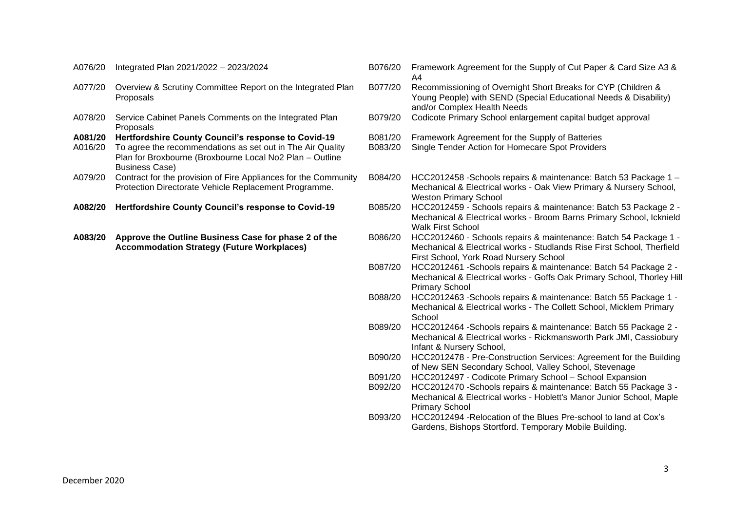|  | A076/20 Integrated Plan 2021/2022 - 2023/2024 |  |  |
|--|-----------------------------------------------|--|--|
|--|-----------------------------------------------|--|--|

- A077/20 Overview & Scrutiny Committee Report on the Integrated Plan Proposals
- A078/20 Service Cabinet Panels Comments on the Integrated Plan Proposals

**A081/20 Hertfordshire County Council's response to Covid-19** B081/20 Framework Agreement for the Supply of Batteries A016/20 To agree the recommendations as set out in The Air Quality B083/20 Single Tender Action for Home

- A016/20 To agree the recommendations as set out in The Air Quality Plan for Broxbourne (Broxbourne Local No2 Plan – Outline Business Case)
- A079/20 Contract for the provision of Fire Appliances for the Community Protection Directorate Vehicle Replacement Programme.

**A083/20 Approve the Outline Business Case for phase 2 of the Accommodation Strategy (Future Workplaces)**

- B076/20 Framework Agreement for the Supply of Cut Paper & Card Size A3 & A4
- B077/20 Recommissioning of Overnight Short Breaks for CYP (Children & Young People) with SEND (Special Educational Needs & Disability) and/or Complex Health Needs
- B079/20 Codicote Primary School enlargement capital budget approval
- 
- Single Tender Action for Homecare Spot Providers
- B084/20 HCC2012458 -Schools repairs & maintenance: Batch 53 Package 1 Mechanical & Electrical works - Oak View Primary & Nursery School, Weston Primary School
- **A082/20 Hertfordshire County Council's response to Covid-19** B085/20 HCC2012459 Schools repairs & maintenance: Batch 53 Package 2 Mechanical & Electrical works - Broom Barns Primary School, Icknield Walk First School
	- B086/20 HCC2012460 Schools repairs & maintenance: Batch 54 Package 1 Mechanical & Electrical works - Studlands Rise First School, Therfield First School, York Road Nursery School
	- B087/20 HCC2012461 -Schools repairs & maintenance: Batch 54 Package 2 Mechanical & Electrical works - Goffs Oak Primary School, Thorley Hill Primary School
	- B088/20 HCC2012463 -Schools repairs & maintenance: Batch 55 Package 1 Mechanical & Electrical works - The Collett School, Micklem Primary **School**
	- B089/20 HCC2012464 -Schools repairs & maintenance: Batch 55 Package 2 Mechanical & Electrical works - Rickmansworth Park JMI, Cassiobury Infant & Nursery School,
	- B090/20 HCC2012478 Pre-Construction Services: Agreement for the Building of New SEN Secondary School, Valley School, Stevenage
	- B091/20 HCC2012497 Codicote Primary School School Expansion
	- B092/20 HCC2012470 -Schools repairs & maintenance: Batch 55 Package 3 Mechanical & Electrical works - Hoblett's Manor Junior School, Maple Primary School
	- B093/20 HCC2012494 -Relocation of the Blues Pre-school to land at Cox's Gardens, Bishops Stortford. Temporary Mobile Building.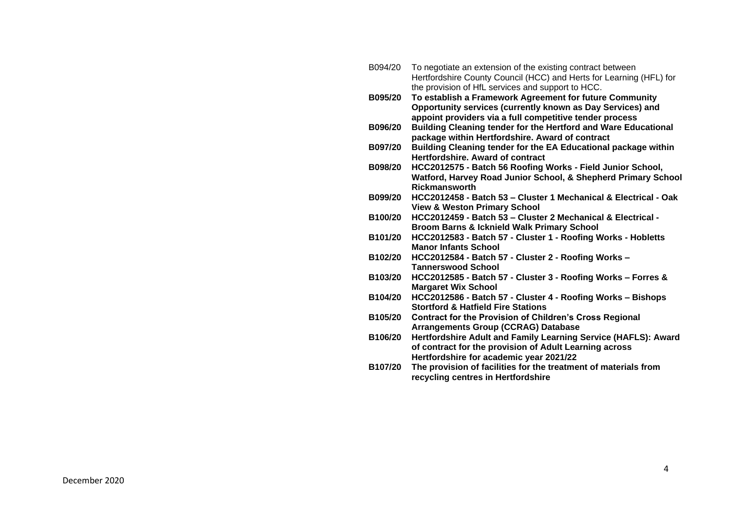| B094/20 | To negotiate an extension of the existing contract between          |
|---------|---------------------------------------------------------------------|
|         | Hertfordshire County Council (HCC) and Herts for Learning (HFL) for |
|         | the provision of HfL services and support to HCC.                   |
| B095/20 | To establish a Framework Agreement for future Community             |
|         | Opportunity services (currently known as Day Services) and          |
|         | appoint providers via a full competitive tender process             |
| B096/20 | Building Cleaning tender for the Hertford and Ware Educational      |
|         | package within Hertfordshire. Award of contract                     |
| B097/20 | Building Cleaning tender for the EA Educational package within      |
|         | <b>Hertfordshire, Award of contract</b>                             |
| B098/20 | HCC2012575 - Batch 56 Roofing Works - Field Junior School,          |
|         | Watford, Harvey Road Junior School, & Shepherd Primary School       |
|         | <b>Rickmansworth</b>                                                |
| B099/20 | HCC2012458 - Batch 53 - Cluster 1 Mechanical & Electrical - Oak     |
|         | <b>View &amp; Weston Primary School</b>                             |
| B100/20 | HCC2012459 - Batch 53 - Cluster 2 Mechanical & Electrical -         |
|         | <b>Broom Barns &amp; Icknield Walk Primary School</b>               |
| B101/20 | HCC2012583 - Batch 57 - Cluster 1 - Roofing Works - Hobletts        |
|         | <b>Manor Infants School</b>                                         |
| B102/20 | HCC2012584 - Batch 57 - Cluster 2 - Roofing Works -                 |
|         | <b>Tannerswood School</b>                                           |
| B103/20 | HCC2012585 - Batch 57 - Cluster 3 - Roofing Works - Forres &        |
|         | <b>Margaret Wix School</b>                                          |
| B104/20 | HCC2012586 - Batch 57 - Cluster 4 - Roofing Works - Bishops         |
|         | <b>Stortford &amp; Hatfield Fire Stations</b>                       |
| B105/20 | <b>Contract for the Provision of Children's Cross Regional</b>      |
|         | <b>Arrangements Group (CCRAG) Database</b>                          |
| B106/20 | Hertfordshire Adult and Family Learning Service (HAFLS): Award      |
|         | of contract for the provision of Adult Learning across              |
|         | Hertfordshire for academic year 2021/22                             |
| B107/20 | The provision of facilities for the treatment of materials from     |
|         | recycling centres in Hertfordshire                                  |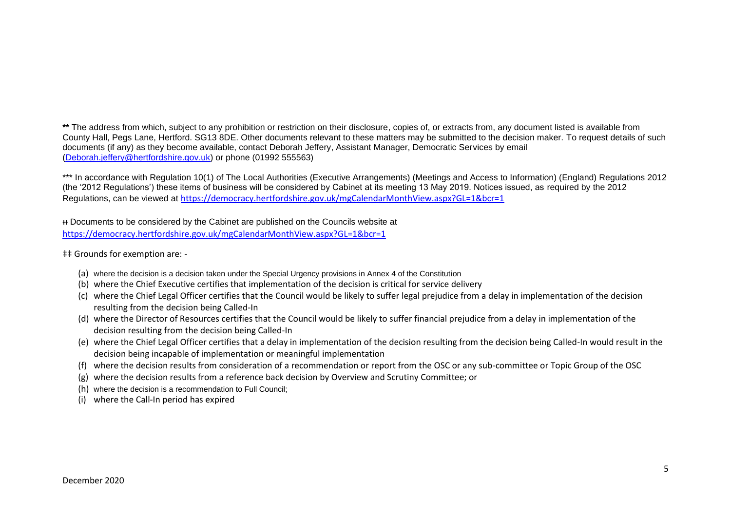\*\* The address from which, subject to any prohibition or restriction on their disclosure, copies of, or extracts from, any document listed is available from County Hall, Pegs Lane, Hertford. SG13 8DE. Other documents relevant to these matters may be submitted to the decision maker. To request details of such documents (if any) as they become available, contact Deborah Jeffery, Assistant Manager, Democratic Services by email [\(Deborah.jeffery@hertfordshire.gov.uk\)](mailto:Deborah.jeffery@hertfordshire.gov.uk) or phone (01992 555563)

\*\*\* In accordance with Regulation 10(1) of The Local Authorities (Executive Arrangements) (Meetings and Access to Information) (England) Regulations 2012 (the '2012 Regulations') these items of business will be considered by Cabinet at its meeting 13 May 2019. Notices issued, as required by the 2012 Regulations, can be viewed at <https://democracy.hertfordshire.gov.uk/mgCalendarMonthView.aspx?GL=1&bcr=1>

ᵻᵻ Documents to be considered by the Cabinet are published on the Councils website at <https://democracy.hertfordshire.gov.uk/mgCalendarMonthView.aspx?GL=1&bcr=1>

‡‡ Grounds for exemption are: -

- (a) where the decision is a decision taken under the Special Urgency provisions in Annex 4 of the Constitution
- (b) where the Chief Executive certifies that implementation of the decision is critical for service delivery
- (c) where the Chief Legal Officer certifies that the Council would be likely to suffer legal prejudice from a delay in implementation of the decision resulting from the decision being Called-In
- (d) where the Director of Resources certifies that the Council would be likely to suffer financial prejudice from a delay in implementation of the decision resulting from the decision being Called-In
- (e) where the Chief Legal Officer certifies that a delay in implementation of the decision resulting from the decision being Called-In would result in the decision being incapable of implementation or meaningful implementation
- (f) where the decision results from consideration of a recommendation or report from the OSC or any sub-committee or Topic Group of the OSC
- (g) where the decision results from a reference back decision by Overview and Scrutiny Committee; or
- (h) where the decision is a recommendation to Full Council;
- (i) where the Call-In period has expired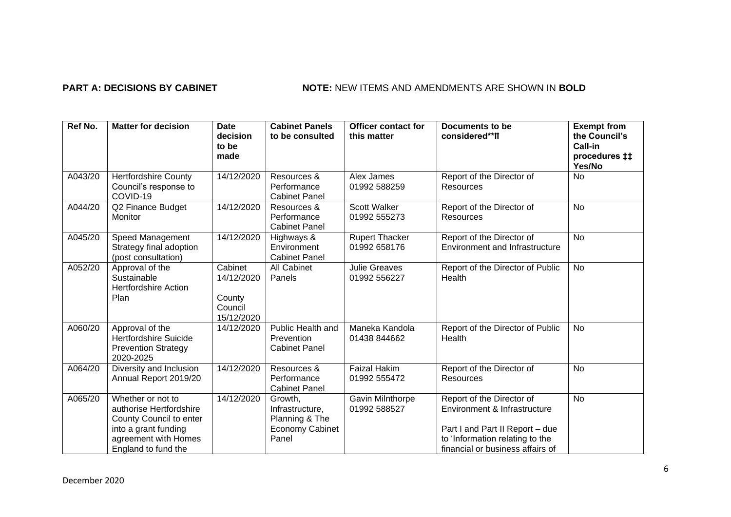# **PART A: DECISIONS BY CABINET NOTE:** NEW ITEMS AND AMENDMENTS ARE SHOWN IN BOLD

| Ref No. | <b>Matter for decision</b>                                                                                                                     | <b>Date</b><br>decision<br>to be<br>made                 | <b>Cabinet Panels</b><br>to be consulted                                        | <b>Officer contact for</b><br>this matter | Documents to be<br>considered**II                                                                                                                                   | <b>Exempt from</b><br>the Council's<br>Call-in<br>procedures ##<br>Yes/No |
|---------|------------------------------------------------------------------------------------------------------------------------------------------------|----------------------------------------------------------|---------------------------------------------------------------------------------|-------------------------------------------|---------------------------------------------------------------------------------------------------------------------------------------------------------------------|---------------------------------------------------------------------------|
| A043/20 | <b>Hertfordshire County</b><br>Council's response to<br>COVID-19                                                                               | 14/12/2020                                               | Resources &<br>Performance<br><b>Cabinet Panel</b>                              | Alex James<br>01992 588259                | Report of the Director of<br><b>Resources</b>                                                                                                                       | <b>No</b>                                                                 |
| A044/20 | Q2 Finance Budget<br>Monitor                                                                                                                   | 14/12/2020                                               | Resources &<br>Performance<br><b>Cabinet Panel</b>                              | <b>Scott Walker</b><br>01992 555273       | Report of the Director of<br><b>Resources</b>                                                                                                                       | <b>No</b>                                                                 |
| A045/20 | Speed Management<br>Strategy final adoption<br>(post consultation)                                                                             | 14/12/2020                                               | Highways &<br>Environment<br><b>Cabinet Panel</b>                               | <b>Rupert Thacker</b><br>01992 658176     | Report of the Director of<br><b>Environment and Infrastructure</b>                                                                                                  | No                                                                        |
| A052/20 | Approval of the<br>Sustainable<br><b>Hertfordshire Action</b><br>Plan                                                                          | Cabinet<br>14/12/2020<br>County<br>Council<br>15/12/2020 | All Cabinet<br>Panels                                                           | <b>Julie Greaves</b><br>01992 556227      | Report of the Director of Public<br>Health                                                                                                                          | <b>No</b>                                                                 |
| A060/20 | Approval of the<br><b>Hertfordshire Suicide</b><br><b>Prevention Strategy</b><br>2020-2025                                                     | 14/12/2020                                               | Public Health and<br>Prevention<br><b>Cabinet Panel</b>                         | Maneka Kandola<br>01438 844662            | Report of the Director of Public<br>Health                                                                                                                          | No                                                                        |
| A064/20 | Diversity and Inclusion<br>Annual Report 2019/20                                                                                               | 14/12/2020                                               | Resources &<br>Performance<br><b>Cabinet Panel</b>                              | <b>Faizal Hakim</b><br>01992 555472       | Report of the Director of<br><b>Resources</b>                                                                                                                       | <b>No</b>                                                                 |
| A065/20 | Whether or not to<br>authorise Hertfordshire<br>County Council to enter<br>into a grant funding<br>agreement with Homes<br>England to fund the | 14/12/2020                                               | Growth,<br>Infrastructure,<br>Planning & The<br><b>Economy Cabinet</b><br>Panel | Gavin Milnthorpe<br>01992 588527          | Report of the Director of<br>Environment & Infrastructure<br>Part I and Part II Report - due<br>to 'Information relating to the<br>financial or business affairs of | <b>No</b>                                                                 |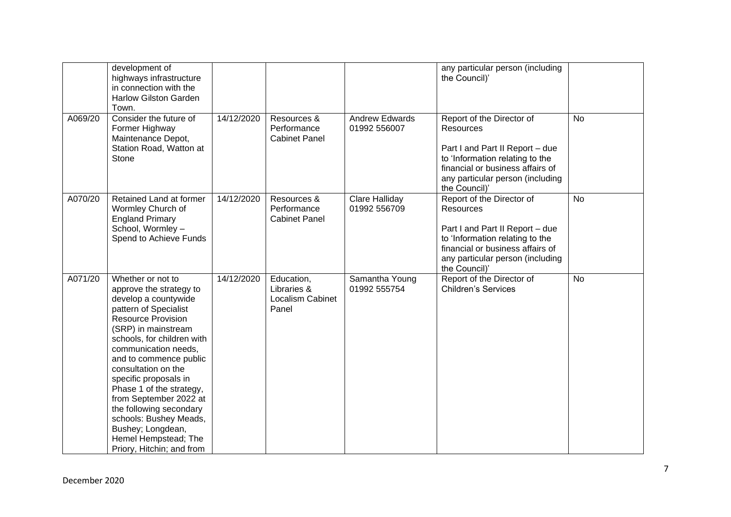|         | development of<br>highways infrastructure<br>in connection with the<br><b>Harlow Gilston Garden</b><br>Town.                                                                                                                                                                                                                                                                                                                                                           |            |                                                        |                                       | any particular person (including<br>the Council)'                                                                                                                                                            |           |
|---------|------------------------------------------------------------------------------------------------------------------------------------------------------------------------------------------------------------------------------------------------------------------------------------------------------------------------------------------------------------------------------------------------------------------------------------------------------------------------|------------|--------------------------------------------------------|---------------------------------------|--------------------------------------------------------------------------------------------------------------------------------------------------------------------------------------------------------------|-----------|
| A069/20 | Consider the future of<br>Former Highway<br>Maintenance Depot,<br>Station Road, Watton at<br>Stone                                                                                                                                                                                                                                                                                                                                                                     | 14/12/2020 | Resources &<br>Performance<br><b>Cabinet Panel</b>     | <b>Andrew Edwards</b><br>01992 556007 | Report of the Director of<br><b>Resources</b><br>Part I and Part II Report - due<br>to 'Information relating to the<br>financial or business affairs of<br>any particular person (including<br>the Council)' | <b>No</b> |
| A070/20 | Retained Land at former<br>Wormley Church of<br><b>England Primary</b><br>School, Wormley -<br>Spend to Achieve Funds                                                                                                                                                                                                                                                                                                                                                  | 14/12/2020 | Resources &<br>Performance<br><b>Cabinet Panel</b>     | <b>Clare Halliday</b><br>01992 556709 | Report of the Director of<br><b>Resources</b><br>Part I and Part II Report - due<br>to 'Information relating to the<br>financial or business affairs of<br>any particular person (including<br>the Council)' | <b>No</b> |
| A071/20 | Whether or not to<br>approve the strategy to<br>develop a countywide<br>pattern of Specialist<br><b>Resource Provision</b><br>(SRP) in mainstream<br>schools, for children with<br>communication needs,<br>and to commence public<br>consultation on the<br>specific proposals in<br>Phase 1 of the strategy,<br>from September 2022 at<br>the following secondary<br>schools: Bushey Meads,<br>Bushey; Longdean,<br>Hemel Hempstead; The<br>Priory, Hitchin; and from | 14/12/2020 | Education,<br>Libraries &<br>Localism Cabinet<br>Panel | Samantha Young<br>01992 555754        | Report of the Director of<br><b>Children's Services</b>                                                                                                                                                      | <b>No</b> |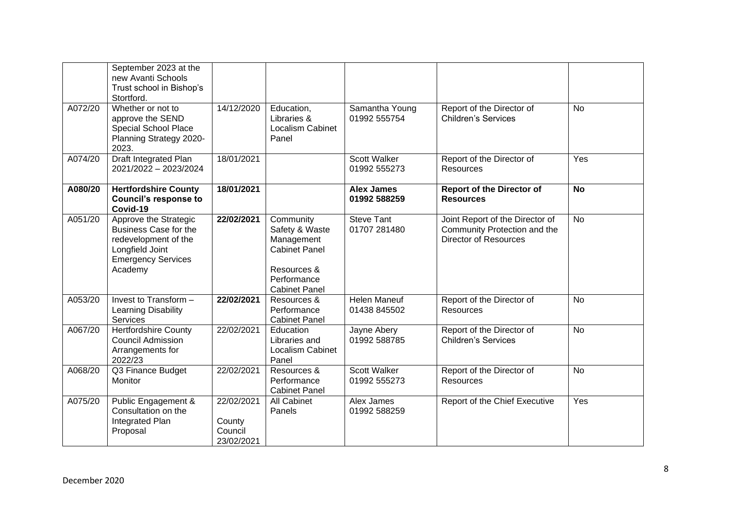|         | September 2023 at the<br>new Avanti Schools<br>Trust school in Bishop's<br>Stortford.                                                    |                                               |                                                                                                                         |                                     |                                                                                          |           |
|---------|------------------------------------------------------------------------------------------------------------------------------------------|-----------------------------------------------|-------------------------------------------------------------------------------------------------------------------------|-------------------------------------|------------------------------------------------------------------------------------------|-----------|
| A072/20 | Whether or not to<br>approve the SEND<br>Special School Place<br>Planning Strategy 2020-<br>2023.                                        | 14/12/2020                                    | Education,<br>Libraries &<br>Localism Cabinet<br>Panel                                                                  | Samantha Young<br>01992 555754      | Report of the Director of<br><b>Children's Services</b>                                  | <b>No</b> |
| A074/20 | Draft Integrated Plan<br>2021/2022 - 2023/2024                                                                                           | 18/01/2021                                    |                                                                                                                         | <b>Scott Walker</b><br>01992 555273 | Report of the Director of<br>Resources                                                   | Yes       |
| A080/20 | <b>Hertfordshire County</b><br><b>Council's response to</b><br>Covid-19                                                                  | 18/01/2021                                    |                                                                                                                         | <b>Alex James</b><br>01992 588259   | <b>Report of the Director of</b><br><b>Resources</b>                                     | <b>No</b> |
| A051/20 | Approve the Strategic<br><b>Business Case for the</b><br>redevelopment of the<br>Longfield Joint<br><b>Emergency Services</b><br>Academy | 22/02/2021                                    | Community<br>Safety & Waste<br>Management<br><b>Cabinet Panel</b><br>Resources &<br>Performance<br><b>Cabinet Panel</b> | <b>Steve Tant</b><br>01707 281480   | Joint Report of the Director of<br>Community Protection and the<br>Director of Resources | <b>No</b> |
| A053/20 | Invest to Transform -<br>Learning Disability<br>Services                                                                                 | 22/02/2021                                    | Resources &<br>Performance<br><b>Cabinet Panel</b>                                                                      | <b>Helen Maneuf</b><br>01438 845502 | Report of the Director of<br>Resources                                                   | <b>No</b> |
| A067/20 | <b>Hertfordshire County</b><br><b>Council Admission</b><br>Arrangements for<br>2022/23                                                   | 22/02/2021                                    | Education<br>Libraries and<br>Localism Cabinet<br>Panel                                                                 | Jayne Abery<br>01992 588785         | Report of the Director of<br><b>Children's Services</b>                                  | <b>No</b> |
| A068/20 | Q3 Finance Budget<br><b>Monitor</b>                                                                                                      | 22/02/2021                                    | Resources &<br>Performance<br><b>Cabinet Panel</b>                                                                      | Scott Walker<br>01992 555273        | Report of the Director of<br><b>Resources</b>                                            | No        |
| A075/20 | Public Engagement &<br>Consultation on the<br>Integrated Plan<br>Proposal                                                                | 22/02/2021<br>County<br>Council<br>23/02/2021 | <b>All Cabinet</b><br>Panels                                                                                            | Alex James<br>01992 588259          | Report of the Chief Executive                                                            | Yes       |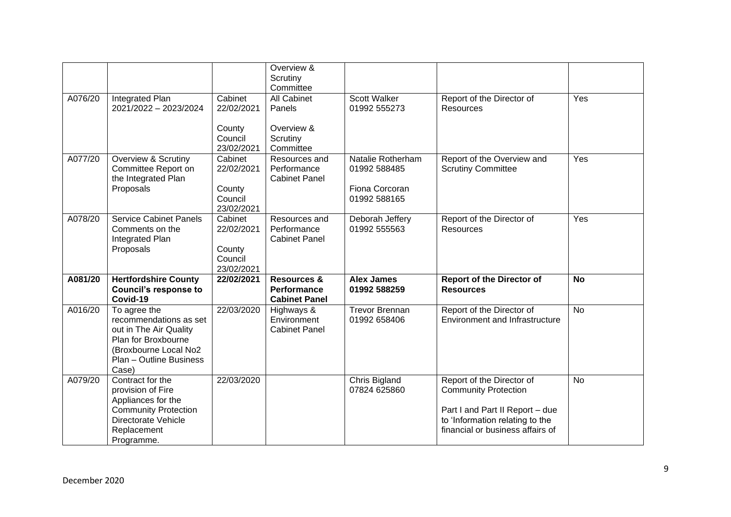|         |                                                                                                                                                      |                                                          | Overview &<br>Scrutiny<br>Committee                                  |                                                                     |                                                                                                                                                                    |           |
|---------|------------------------------------------------------------------------------------------------------------------------------------------------------|----------------------------------------------------------|----------------------------------------------------------------------|---------------------------------------------------------------------|--------------------------------------------------------------------------------------------------------------------------------------------------------------------|-----------|
| A076/20 | Integrated Plan<br>2021/2022 - 2023/2024                                                                                                             | Cabinet<br>22/02/2021                                    | All Cabinet<br>Panels                                                | Scott Walker<br>01992 555273                                        | Report of the Director of<br><b>Resources</b>                                                                                                                      | Yes       |
|         |                                                                                                                                                      | County<br>Council<br>23/02/2021                          | Overview &<br>Scrutiny<br>Committee                                  |                                                                     |                                                                                                                                                                    |           |
| A077/20 | Overview & Scrutiny<br>Committee Report on<br>the Integrated Plan<br>Proposals                                                                       | Cabinet<br>22/02/2021<br>County<br>Council<br>23/02/2021 | Resources and<br>Performance<br><b>Cabinet Panel</b>                 | Natalie Rotherham<br>01992 588485<br>Fiona Corcoran<br>01992 588165 | Report of the Overview and<br><b>Scrutiny Committee</b>                                                                                                            | Yes       |
| A078/20 | <b>Service Cabinet Panels</b><br>Comments on the<br>Integrated Plan<br>Proposals                                                                     | Cabinet<br>22/02/2021<br>County<br>Council<br>23/02/2021 | Resources and<br>Performance<br><b>Cabinet Panel</b>                 | Deborah Jeffery<br>01992 555563                                     | Report of the Director of<br><b>Resources</b>                                                                                                                      | Yes       |
| A081/20 | <b>Hertfordshire County</b><br><b>Council's response to</b><br>Covid-19                                                                              | 22/02/2021                                               | <b>Resources &amp;</b><br><b>Performance</b><br><b>Cabinet Panel</b> | <b>Alex James</b><br>01992 588259                                   | <b>Report of the Director of</b><br><b>Resources</b>                                                                                                               | <b>No</b> |
| A016/20 | To agree the<br>recommendations as set<br>out in The Air Quality<br>Plan for Broxbourne<br>(Broxbourne Local No2<br>Plan - Outline Business<br>Case) | 22/03/2020                                               | Highways &<br>Environment<br><b>Cabinet Panel</b>                    | <b>Trevor Brennan</b><br>01992 658406                               | Report of the Director of<br><b>Environment and Infrastructure</b>                                                                                                 | <b>No</b> |
| A079/20 | Contract for the<br>provision of Fire<br>Appliances for the<br><b>Community Protection</b><br>Directorate Vehicle<br>Replacement<br>Programme.       | 22/03/2020                                               |                                                                      | Chris Bigland<br>07824 625860                                       | Report of the Director of<br><b>Community Protection</b><br>Part I and Part II Report - due<br>to 'Information relating to the<br>financial or business affairs of | No        |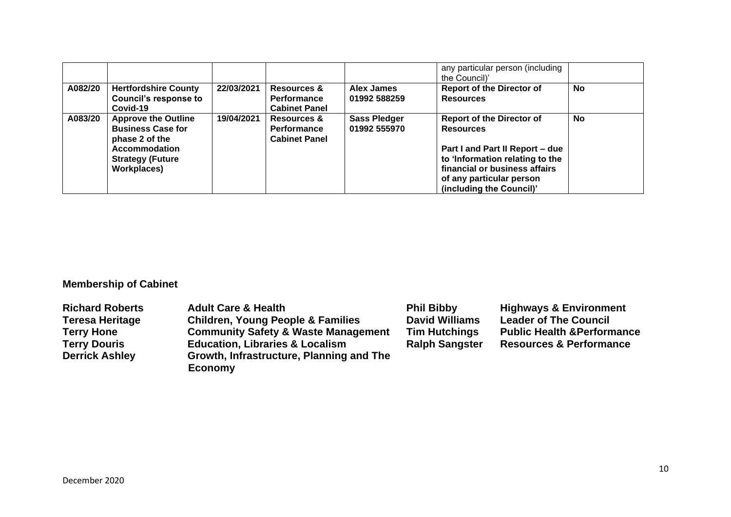|         |                                                                                                                                            |            |                                                               |                                     | any particular person (including<br>the Council)'                                                                                                                                                                   |           |
|---------|--------------------------------------------------------------------------------------------------------------------------------------------|------------|---------------------------------------------------------------|-------------------------------------|---------------------------------------------------------------------------------------------------------------------------------------------------------------------------------------------------------------------|-----------|
| A082/20 | <b>Hertfordshire County</b><br><b>Council's response to</b><br>Covid-19                                                                    | 22/03/2021 | <b>Resources &amp;</b><br>Performance<br><b>Cabinet Panel</b> | Alex James<br>01992 588259          | <b>Report of the Director of</b><br><b>Resources</b>                                                                                                                                                                | <b>No</b> |
| A083/20 | <b>Approve the Outline</b><br><b>Business Case for</b><br>phase 2 of the<br><b>Accommodation</b><br><b>Strategy (Future</b><br>Workplaces) | 19/04/2021 | <b>Resources &amp;</b><br>Performance<br><b>Cabinet Panel</b> | <b>Sass Pledger</b><br>01992 555970 | <b>Report of the Director of</b><br><b>Resources</b><br>Part I and Part II Report - due<br>to 'Information relating to the<br>financial or business affairs<br>of any particular person<br>(including the Council)' | <b>No</b> |

# **Membership of Cabinet**

| <b>Richard Roberts</b> | <b>Adult Care &amp; Health</b>                 | <b>Phil Bibby</b>     | <b>Highways &amp; Environment</b>      |
|------------------------|------------------------------------------------|-----------------------|----------------------------------------|
| Teresa Heritage        | <b>Children, Young People &amp; Families</b>   | <b>David Williams</b> | <b>Leader of The Council</b>           |
| <b>Terry Hone</b>      | <b>Community Safety &amp; Waste Management</b> | <b>Tim Hutchings</b>  | <b>Public Health &amp; Performance</b> |
| <b>Terry Douris</b>    | <b>Education, Libraries &amp; Localism</b>     | <b>Ralph Sangster</b> | <b>Resources &amp; Performance</b>     |
| <b>Derrick Ashley</b>  | Growth, Infrastructure, Planning and The       |                       |                                        |
|                        | <b>Economy</b>                                 |                       |                                        |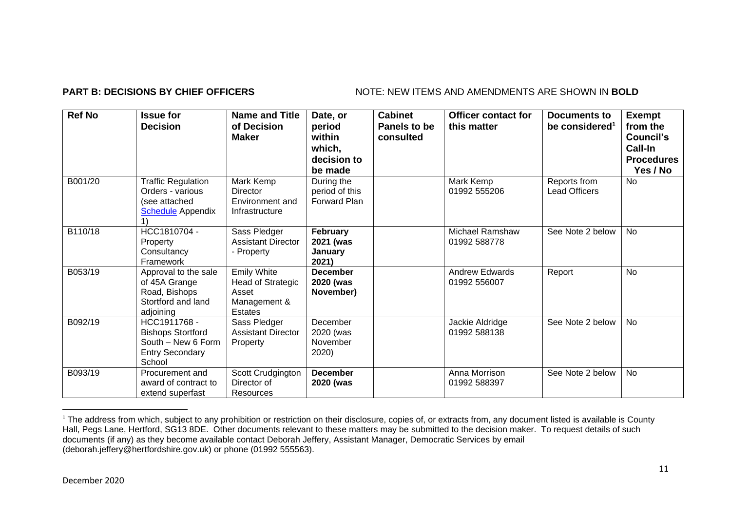## **PART B: DECISIONS BY CHIEF OFFICERS** NOTE: NEW ITEMS AND AMENDMENTS ARE SHOWN IN BOLD

| <b>Ref No</b> | <b>Issue for</b><br><b>Decision</b>                                                                | <b>Name and Title</b><br>of Decision<br><b>Maker</b>                               | Date, or<br>period<br>within<br>which,<br>decision to<br>be made | <b>Cabinet</b><br>Panels to be<br>consulted | <b>Officer contact for</b><br>this matter | <b>Documents to</b><br>be considered <sup>1</sup> | <b>Exempt</b><br>from the<br>Council's<br>Call-In<br><b>Procedures</b><br>Yes / No |
|---------------|----------------------------------------------------------------------------------------------------|------------------------------------------------------------------------------------|------------------------------------------------------------------|---------------------------------------------|-------------------------------------------|---------------------------------------------------|------------------------------------------------------------------------------------|
| B001/20       | <b>Traffic Regulation</b><br>Orders - various<br>(see attached<br><b>Schedule</b> Appendix         | Mark Kemp<br><b>Director</b><br>Environment and<br>Infrastructure                  | During the<br>period of this<br><b>Forward Plan</b>              |                                             | Mark Kemp<br>01992 555206                 | Reports from<br><b>Lead Officers</b>              | No                                                                                 |
| B110/18       | HCC1810704 -<br>Property<br>Consultancy<br>Framework                                               | Sass Pledger<br><b>Assistant Director</b><br>- Property                            | February<br>2021 (was<br>Januarv<br>2021)                        |                                             | <b>Michael Ramshaw</b><br>01992 588778    | See Note 2 below                                  | No                                                                                 |
| B053/19       | Approval to the sale<br>of 45A Grange<br>Road, Bishops<br>Stortford and land<br>adjoining          | <b>Emily White</b><br>Head of Strategic<br>Asset<br>Management &<br><b>Estates</b> | <b>December</b><br>2020 (was<br>November)                        |                                             | <b>Andrew Edwards</b><br>01992 556007     | Report                                            | <b>No</b>                                                                          |
| B092/19       | HCC1911768 -<br><b>Bishops Stortford</b><br>South - New 6 Form<br><b>Entry Secondary</b><br>School | Sass Pledger<br><b>Assistant Director</b><br>Property                              | December<br>2020 (was<br>November<br>2020)                       |                                             | Jackie Aldridge<br>01992 588138           | See Note 2 below                                  | No                                                                                 |
| B093/19       | Procurement and<br>award of contract to<br>extend superfast                                        | Scott Crudgington<br>Director of<br>Resources                                      | <b>December</b><br>2020 (was                                     |                                             | Anna Morrison<br>01992 588397             | See Note 2 below                                  | No                                                                                 |

<sup>&</sup>lt;sup>1</sup> The address from which, subject to any prohibition or restriction on their disclosure, copies of, or extracts from, any document listed is available is County Hall, Pegs Lane, Hertford, SG13 8DE. Other documents relevant to these matters may be submitted to the decision maker. To request details of such documents (if any) as they become available contact Deborah Jeffery, Assistant Manager, Democratic Services by email (deborah.jeffery@hertfordshire.gov.uk) or phone (01992 555563).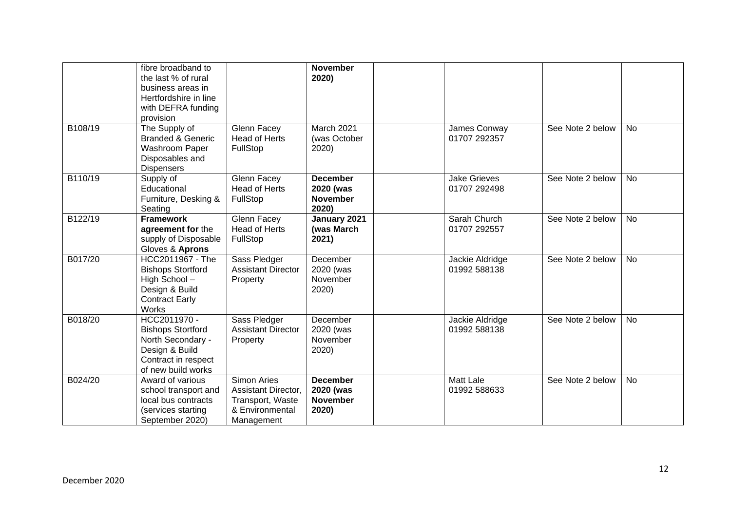|         | fibre broadband to<br>the last % of rural<br>business areas in<br>Hertfordshire in line<br>with DEFRA funding<br>provision   |                                                                                                       | <b>November</b><br>2020)                                 |                                     |                  |           |
|---------|------------------------------------------------------------------------------------------------------------------------------|-------------------------------------------------------------------------------------------------------|----------------------------------------------------------|-------------------------------------|------------------|-----------|
| B108/19 | The Supply of<br><b>Branded &amp; Generic</b><br>Washroom Paper<br>Disposables and<br><b>Dispensers</b>                      | Glenn Facey<br><b>Head of Herts</b><br>FullStop                                                       | March 2021<br>(was October<br>2020)                      | James Conway<br>01707 292357        | See Note 2 below | <b>No</b> |
| B110/19 | Supply of<br>Educational<br>Furniture, Desking &<br>Seating                                                                  | <b>Glenn Facey</b><br><b>Head of Herts</b><br>FullStop                                                | <b>December</b><br>2020 (was<br><b>November</b><br>2020) | <b>Jake Grieves</b><br>01707 292498 | See Note 2 below | <b>No</b> |
| B122/19 | <b>Framework</b><br>agreement for the<br>supply of Disposable<br>Gloves & Aprons                                             | Glenn Facey<br><b>Head of Herts</b><br>FullStop                                                       | January 2021<br>(was March<br>2021)                      | Sarah Church<br>01707 292557        | See Note 2 below | <b>No</b> |
| B017/20 | HCC2011967 - The<br><b>Bishops Stortford</b><br>High School-<br>Design & Build<br><b>Contract Early</b><br><b>Works</b>      | Sass Pledger<br><b>Assistant Director</b><br>Property                                                 | December<br>2020 (was<br>November<br>2020)               | Jackie Aldridge<br>01992 588138     | See Note 2 below | <b>No</b> |
| B018/20 | HCC2011970 -<br><b>Bishops Stortford</b><br>North Secondary -<br>Design & Build<br>Contract in respect<br>of new build works | Sass Pledger<br><b>Assistant Director</b><br>Property                                                 | December<br>2020 (was<br>November<br>2020)               | Jackie Aldridge<br>01992 588138     | See Note 2 below | <b>No</b> |
| B024/20 | Award of various<br>school transport and<br>local bus contracts<br>(services starting<br>September 2020)                     | <b>Simon Aries</b><br><b>Assistant Director,</b><br>Transport, Waste<br>& Environmental<br>Management | <b>December</b><br>2020 (was<br><b>November</b><br>2020) | <b>Matt Lale</b><br>01992 588633    | See Note 2 below | <b>No</b> |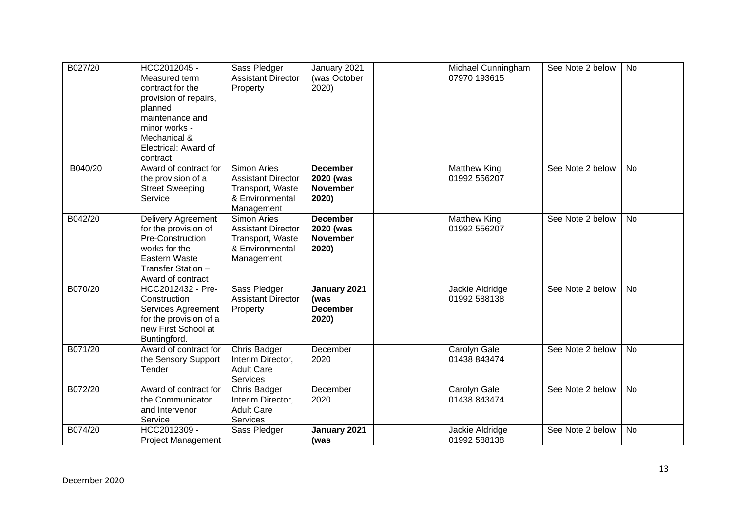| B027/20 | HCC2012045 -<br>Measured term<br>contract for the<br>provision of repairs,<br>planned<br>maintenance and<br>minor works -<br>Mechanical &<br>Electrical: Award of<br>contract | Sass Pledger<br><b>Assistant Director</b><br>Property                                         | January 2021<br>(was October<br>2020)                    | 07970 193615                        | Michael Cunningham | See Note 2 below | <b>No</b> |
|---------|-------------------------------------------------------------------------------------------------------------------------------------------------------------------------------|-----------------------------------------------------------------------------------------------|----------------------------------------------------------|-------------------------------------|--------------------|------------------|-----------|
| B040/20 | Award of contract for<br>the provision of a<br><b>Street Sweeping</b><br>Service                                                                                              | Simon Aries<br><b>Assistant Director</b><br>Transport, Waste<br>& Environmental<br>Management | <b>December</b><br>2020 (was<br><b>November</b><br>2020) | <b>Matthew King</b><br>01992 556207 |                    | See Note 2 below | <b>No</b> |
| B042/20 | Delivery Agreement<br>for the provision of<br>Pre-Construction<br>works for the<br>Eastern Waste<br>Transfer Station -<br>Award of contract                                   | Simon Aries<br><b>Assistant Director</b><br>Transport, Waste<br>& Environmental<br>Management | <b>December</b><br>2020 (was<br><b>November</b><br>2020) | <b>Matthew King</b><br>01992 556207 |                    | See Note 2 below | No        |
| B070/20 | HCC2012432 - Pre-<br>Construction<br>Services Agreement<br>for the provision of a<br>new First School at<br>Buntingford.                                                      | Sass Pledger<br><b>Assistant Director</b><br>Property                                         | January 2021<br>(was<br><b>December</b><br>2020)         | Jackie Aldridge<br>01992 588138     |                    | See Note 2 below | No        |
| B071/20 | Award of contract for<br>the Sensory Support<br>Tender                                                                                                                        | Chris Badger<br>Interim Director,<br><b>Adult Care</b><br>Services                            | December<br>2020                                         | Carolyn Gale<br>01438 843474        |                    | See Note 2 below | No        |
| B072/20 | Award of contract for<br>the Communicator<br>and Intervenor<br>Service                                                                                                        | Chris Badger<br>Interim Director,<br><b>Adult Care</b><br>Services                            | December<br>2020                                         | Carolyn Gale<br>01438 843474        |                    | See Note 2 below | <b>No</b> |
| B074/20 | HCC2012309 -<br><b>Project Management</b>                                                                                                                                     | Sass Pledger                                                                                  | January 2021<br>(was                                     | Jackie Aldridge<br>01992 588138     |                    | See Note 2 below | No        |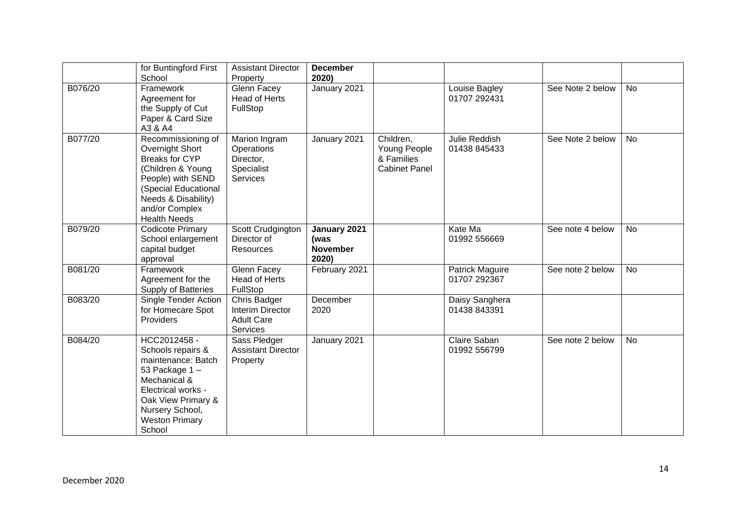|         | for Buntingford First<br>School                                                                                                                                                                  | <b>Assistant Director</b><br>Property                                     | <b>December</b><br>2020)                         |                                                                 |                                 |                  |           |
|---------|--------------------------------------------------------------------------------------------------------------------------------------------------------------------------------------------------|---------------------------------------------------------------------------|--------------------------------------------------|-----------------------------------------------------------------|---------------------------------|------------------|-----------|
| B076/20 | Framework<br>Agreement for<br>the Supply of Cut<br>Paper & Card Size<br>A3 & A4                                                                                                                  | <b>Glenn Facey</b><br><b>Head of Herts</b><br>FullStop                    | January 2021                                     |                                                                 | Louise Bagley<br>01707 292431   | See Note 2 below | <b>No</b> |
| B077/20 | Recommissioning of<br>Overnight Short<br><b>Breaks for CYP</b><br>(Children & Young<br>People) with SEND<br>(Special Educational<br>Needs & Disability)<br>and/or Complex<br><b>Health Needs</b> | Marion Ingram<br>Operations<br>Director,<br>Specialist<br><b>Services</b> | January 2021                                     | Children,<br>Young People<br>& Families<br><b>Cabinet Panel</b> | Julie Reddish<br>01438 845433   | See Note 2 below | No        |
| B079/20 | <b>Codicote Primary</b><br>School enlargement<br>capital budget<br>approval                                                                                                                      | Scott Crudgington<br>Director of<br><b>Resources</b>                      | January 2021<br>(was<br><b>November</b><br>2020) |                                                                 | Kate Ma<br>01992 556669         | See note 4 below | No        |
| B081/20 | Framework<br>Agreement for the<br>Supply of Batteries                                                                                                                                            | Glenn Facey<br><b>Head of Herts</b><br>FullStop                           | February 2021                                    |                                                                 | Patrick Maguire<br>01707 292367 | See note 2 below | No        |
| B083/20 | Single Tender Action<br>for Homecare Spot<br>Providers                                                                                                                                           | Chris Badger<br>Interim Director<br><b>Adult Care</b><br>Services         | December<br>2020                                 |                                                                 | Daisy Sanghera<br>01438 843391  |                  |           |
| B084/20 | HCC2012458 -<br>Schools repairs &<br>maintenance: Batch<br>53 Package 1-<br>Mechanical &<br>Electrical works -<br>Oak View Primary &<br>Nursery School,<br><b>Weston Primary</b><br>School       | Sass Pledger<br><b>Assistant Director</b><br>Property                     | January 2021                                     |                                                                 | Claire Saban<br>01992 556799    | See note 2 below | <b>No</b> |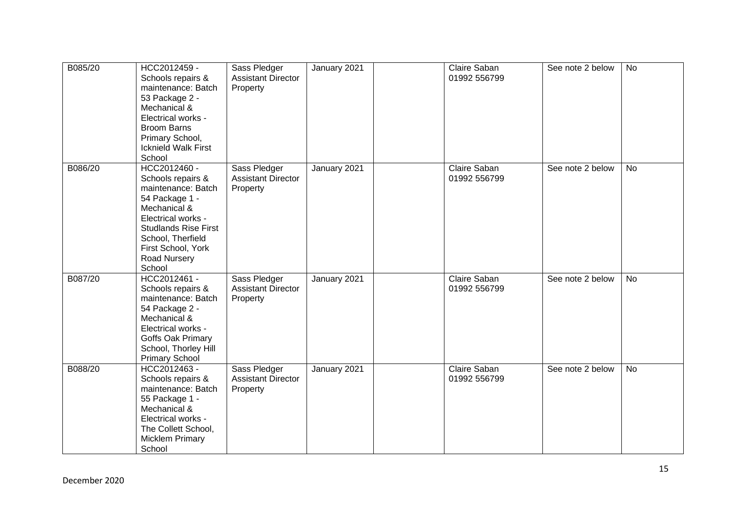| B085/20 | HCC2012459 -<br>Schools repairs &<br>maintenance: Batch<br>53 Package 2 -<br>Mechanical &<br>Electrical works -<br><b>Broom Barns</b><br>Primary School,<br><b>Icknield Walk First</b><br>School                    | Sass Pledger<br><b>Assistant Director</b><br>Property | January 2021 | Claire Saban<br>01992 556799 | See note 2 below | <b>No</b> |
|---------|---------------------------------------------------------------------------------------------------------------------------------------------------------------------------------------------------------------------|-------------------------------------------------------|--------------|------------------------------|------------------|-----------|
| B086/20 | HCC2012460 -<br>Schools repairs &<br>maintenance: Batch<br>54 Package 1 -<br>Mechanical &<br>Electrical works -<br><b>Studlands Rise First</b><br>School, Therfield<br>First School, York<br>Road Nursery<br>School | Sass Pledger<br><b>Assistant Director</b><br>Property | January 2021 | Claire Saban<br>01992 556799 | See note 2 below | No        |
| B087/20 | HCC2012461 -<br>Schools repairs &<br>maintenance: Batch<br>54 Package 2 -<br>Mechanical &<br>Electrical works -<br>Goffs Oak Primary<br>School, Thorley Hill<br><b>Primary School</b>                               | Sass Pledger<br><b>Assistant Director</b><br>Property | January 2021 | Claire Saban<br>01992 556799 | See note 2 below | <b>No</b> |
| B088/20 | HCC2012463 -<br>Schools repairs &<br>maintenance: Batch<br>55 Package 1 -<br>Mechanical &<br>Electrical works -<br>The Collett School,<br><b>Micklem Primary</b><br>School                                          | Sass Pledger<br><b>Assistant Director</b><br>Property | January 2021 | Claire Saban<br>01992 556799 | See note 2 below | <b>No</b> |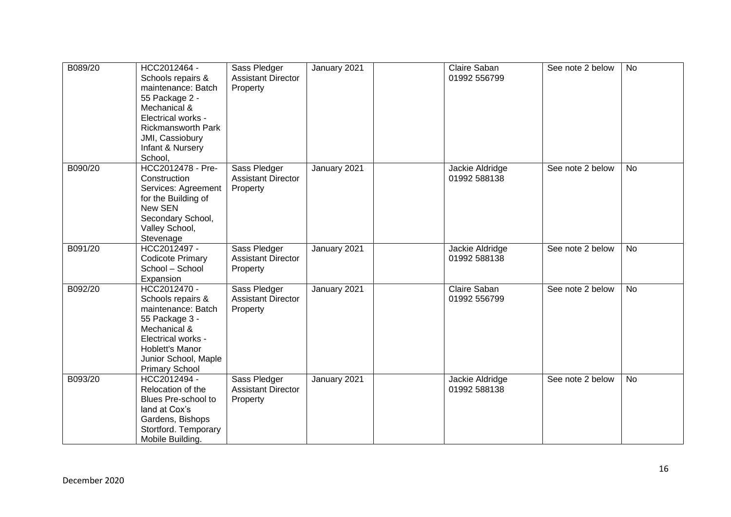| B089/20 | HCC2012464 -<br>Schools repairs &<br>maintenance: Batch<br>55 Package 2 -<br>Mechanical &<br>Electrical works -<br><b>Rickmansworth Park</b><br>JMI, Cassiobury<br>Infant & Nursery<br>School, | Sass Pledger<br><b>Assistant Director</b><br>Property | January 2021 | Claire Saban<br>01992 556799    | See note 2 below | <b>No</b> |
|---------|------------------------------------------------------------------------------------------------------------------------------------------------------------------------------------------------|-------------------------------------------------------|--------------|---------------------------------|------------------|-----------|
| B090/20 | HCC2012478 - Pre-<br>Construction<br>Services: Agreement<br>for the Building of<br>New SEN<br>Secondary School,<br>Valley School,<br>Stevenage                                                 | Sass Pledger<br><b>Assistant Director</b><br>Property | January 2021 | Jackie Aldridge<br>01992 588138 | See note 2 below | <b>No</b> |
| B091/20 | HCC2012497 -<br><b>Codicote Primary</b><br>School - School<br>Expansion                                                                                                                        | Sass Pledger<br><b>Assistant Director</b><br>Property | January 2021 | Jackie Aldridge<br>01992 588138 | See note 2 below | <b>No</b> |
| B092/20 | HCC2012470 -<br>Schools repairs &<br>maintenance: Batch<br>55 Package 3 -<br>Mechanical &<br>Electrical works -<br>Hoblett's Manor<br>Junior School, Maple<br><b>Primary School</b>            | Sass Pledger<br><b>Assistant Director</b><br>Property | January 2021 | Claire Saban<br>01992 556799    | See note 2 below | <b>No</b> |
| B093/20 | HCC2012494 -<br>Relocation of the<br>Blues Pre-school to<br>land at Cox's<br>Gardens, Bishops<br>Stortford. Temporary<br>Mobile Building.                                                      | Sass Pledger<br><b>Assistant Director</b><br>Property | January 2021 | Jackie Aldridge<br>01992 588138 | See note 2 below | <b>No</b> |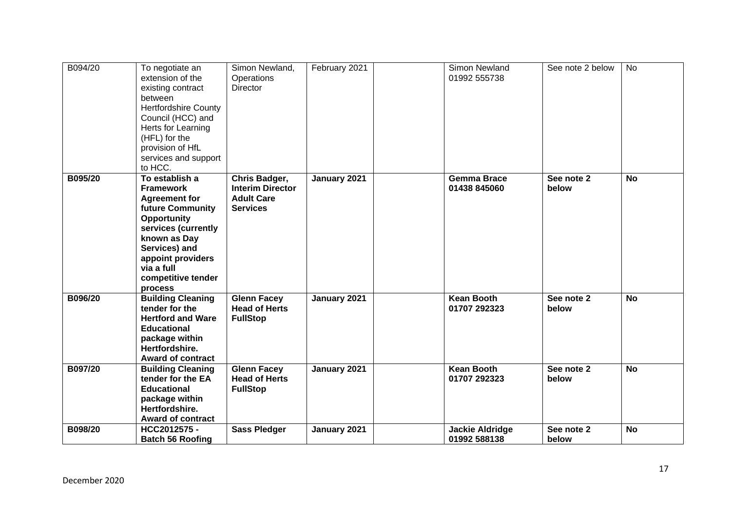| B094/20 | To negotiate an<br>extension of the<br>existing contract<br>between<br><b>Hertfordshire County</b><br>Council (HCC) and<br>Herts for Learning<br>(HFL) for the<br>provision of HfL<br>services and support<br>to HCC.            | Simon Newland,<br>Operations<br><b>Director</b>                                  | February 2021 | Simon Newland<br>01992 555738          | See note 2 below    | <b>No</b> |
|---------|----------------------------------------------------------------------------------------------------------------------------------------------------------------------------------------------------------------------------------|----------------------------------------------------------------------------------|---------------|----------------------------------------|---------------------|-----------|
| B095/20 | To establish a<br><b>Framework</b><br><b>Agreement for</b><br><b>future Community</b><br>Opportunity<br>services (currently<br>known as Day<br>Services) and<br>appoint providers<br>via a full<br>competitive tender<br>process | Chris Badger,<br><b>Interim Director</b><br><b>Adult Care</b><br><b>Services</b> | January 2021  | <b>Gemma Brace</b><br>01438 845060     | See note 2<br>below | <b>No</b> |
| B096/20 | <b>Building Cleaning</b><br>tender for the<br><b>Hertford and Ware</b><br><b>Educational</b><br>package within<br>Hertfordshire.<br><b>Award of contract</b>                                                                     | <b>Glenn Facey</b><br><b>Head of Herts</b><br><b>FullStop</b>                    | January 2021  | <b>Kean Booth</b><br>01707 292323      | See note 2<br>below | <b>No</b> |
| B097/20 | <b>Building Cleaning</b><br>tender for the EA<br><b>Educational</b><br>package within<br>Hertfordshire.<br>Award of contract                                                                                                     | <b>Glenn Facey</b><br><b>Head of Herts</b><br><b>FullStop</b>                    | January 2021  | <b>Kean Booth</b><br>01707 292323      | See note 2<br>below | <b>No</b> |
| B098/20 | HCC2012575-<br><b>Batch 56 Roofing</b>                                                                                                                                                                                           | <b>Sass Pledger</b>                                                              | January 2021  | <b>Jackie Aldridge</b><br>01992 588138 | See note 2<br>below | <b>No</b> |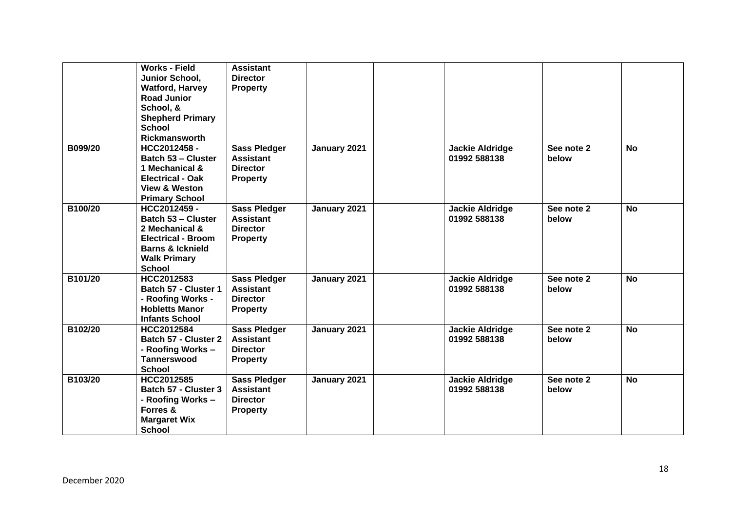|         | <b>Works - Field</b><br>Junior School,             | <b>Assistant</b><br><b>Director</b> |              |                        |            |           |
|---------|----------------------------------------------------|-------------------------------------|--------------|------------------------|------------|-----------|
|         | <b>Watford, Harvey</b>                             | <b>Property</b>                     |              |                        |            |           |
|         | <b>Road Junior</b>                                 |                                     |              |                        |            |           |
|         | School, &                                          |                                     |              |                        |            |           |
|         | <b>Shepherd Primary</b>                            |                                     |              |                        |            |           |
|         | <b>School</b>                                      |                                     |              |                        |            |           |
|         | Rickmansworth                                      |                                     |              |                        |            |           |
| B099/20 | HCC2012458-                                        | <b>Sass Pledger</b>                 | January 2021 | <b>Jackie Aldridge</b> | See note 2 | <b>No</b> |
|         | <b>Batch 53 - Cluster</b>                          | <b>Assistant</b>                    |              | 01992 588138           | below      |           |
|         | 1 Mechanical &                                     | <b>Director</b>                     |              |                        |            |           |
|         | <b>Electrical - Oak</b>                            | <b>Property</b>                     |              |                        |            |           |
|         | <b>View &amp; Weston</b>                           |                                     |              |                        |            |           |
|         | <b>Primary School</b>                              |                                     |              |                        |            |           |
| B100/20 | HCC2012459 -                                       | <b>Sass Pledger</b>                 | January 2021 | <b>Jackie Aldridge</b> | See note 2 | <b>No</b> |
|         | <b>Batch 53 - Cluster</b>                          | <b>Assistant</b>                    |              | 01992 588138           | below      |           |
|         | 2 Mechanical &                                     | <b>Director</b>                     |              |                        |            |           |
|         | <b>Electrical - Broom</b>                          | <b>Property</b>                     |              |                        |            |           |
|         | <b>Barns &amp; Icknield</b><br><b>Walk Primary</b> |                                     |              |                        |            |           |
|         | <b>School</b>                                      |                                     |              |                        |            |           |
| B101/20 | HCC2012583                                         | Sass Pledger                        | January 2021 | <b>Jackie Aldridge</b> | See note 2 | <b>No</b> |
|         | Batch 57 - Cluster 1                               | <b>Assistant</b>                    |              | 01992 588138           | below      |           |
|         | - Roofing Works -                                  | <b>Director</b>                     |              |                        |            |           |
|         | <b>Hobletts Manor</b>                              | <b>Property</b>                     |              |                        |            |           |
|         | <b>Infants School</b>                              |                                     |              |                        |            |           |
| B102/20 | HCC2012584                                         | <b>Sass Pledger</b>                 | January 2021 | <b>Jackie Aldridge</b> | See note 2 | <b>No</b> |
|         | Batch 57 - Cluster 2                               | <b>Assistant</b>                    |              | 01992 588138           | below      |           |
|         | - Roofing Works -                                  | <b>Director</b>                     |              |                        |            |           |
|         | <b>Tannerswood</b>                                 | <b>Property</b>                     |              |                        |            |           |
|         | <b>School</b>                                      |                                     |              |                        |            |           |
| B103/20 | HCC2012585                                         | <b>Sass Pledger</b>                 | January 2021 | <b>Jackie Aldridge</b> | See note 2 | <b>No</b> |
|         | Batch 57 - Cluster 3                               | <b>Assistant</b>                    |              | 01992 588138           | below      |           |
|         | - Roofing Works -                                  | <b>Director</b>                     |              |                        |            |           |
|         | Forres &                                           | <b>Property</b>                     |              |                        |            |           |
|         | <b>Margaret Wix</b>                                |                                     |              |                        |            |           |
|         | <b>School</b>                                      |                                     |              |                        |            |           |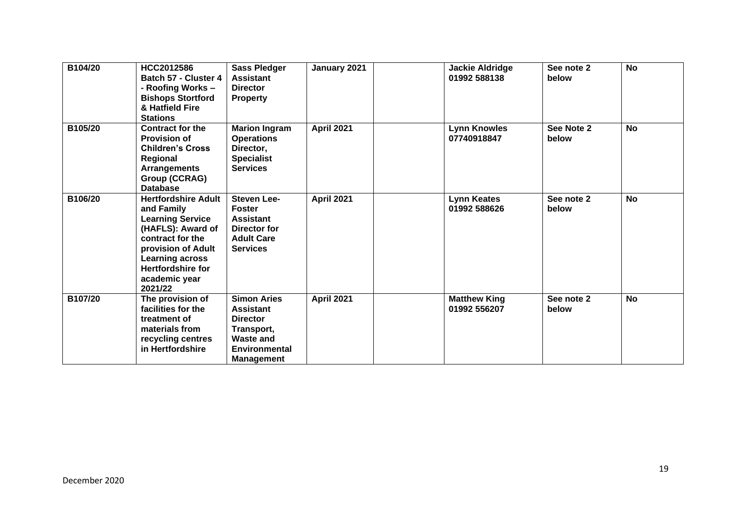| B104/20 | HCC2012586<br>Batch 57 - Cluster 4<br>- Roofing Works -<br><b>Bishops Stortford</b><br>& Hatfield Fire<br><b>Stations</b>                                                                                            | <b>Sass Pledger</b><br><b>Assistant</b><br><b>Director</b><br><b>Property</b>                                                            | January 2021      | <b>Jackie Aldridge</b><br>01992 588138 | See note 2<br>below | <b>No</b> |
|---------|----------------------------------------------------------------------------------------------------------------------------------------------------------------------------------------------------------------------|------------------------------------------------------------------------------------------------------------------------------------------|-------------------|----------------------------------------|---------------------|-----------|
| B105/20 | <b>Contract for the</b><br><b>Provision of</b><br><b>Children's Cross</b><br>Regional<br><b>Arrangements</b><br>Group (CCRAG)<br><b>Database</b>                                                                     | <b>Marion Ingram</b><br><b>Operations</b><br>Director,<br><b>Specialist</b><br><b>Services</b>                                           | <b>April 2021</b> | <b>Lynn Knowles</b><br>07740918847     | See Note 2<br>below | <b>No</b> |
| B106/20 | <b>Hertfordshire Adult</b><br>and Family<br><b>Learning Service</b><br>(HAFLS): Award of<br>contract for the<br>provision of Adult<br><b>Learning across</b><br><b>Hertfordshire for</b><br>academic year<br>2021/22 | Steven Lee-<br><b>Foster</b><br><b>Assistant</b><br>Director for<br><b>Adult Care</b><br><b>Services</b>                                 | <b>April 2021</b> | <b>Lynn Keates</b><br>01992 588626     | See note 2<br>below | <b>No</b> |
| B107/20 | The provision of<br>facilities for the<br>treatment of<br>materials from<br>recycling centres<br>in Hertfordshire                                                                                                    | <b>Simon Aries</b><br><b>Assistant</b><br><b>Director</b><br>Transport,<br><b>Waste and</b><br><b>Environmental</b><br><b>Management</b> | <b>April 2021</b> | <b>Matthew King</b><br>01992 556207    | See note 2<br>below | <b>No</b> |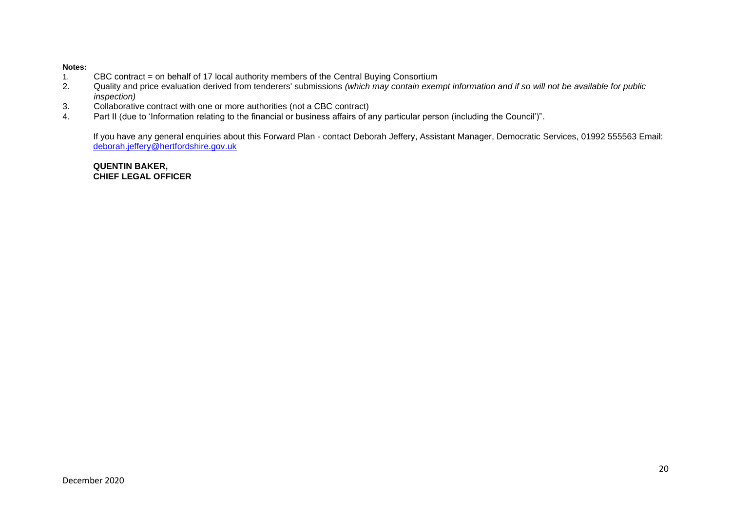### **Notes:**

- 1. CBC contract = on behalf of 17 local authority members of the Central Buying Consortium<br>2. Quality and price evaluation derived from tenderers' submissions (which may contain exer
- 2. Quality and price evaluation derived from tenderers' submissions *(which may contain exempt information and if so will not be available for public inspection)*
- 3. Collaborative contract with one or more authorities (not a CBC contract)
- 4. Part II (due to 'Information relating to the financial or business affairs of any particular person (including the Council')".

If you have any general enquiries about this Forward Plan - contact Deborah Jeffery, Assistant Manager, Democratic Services, 01992 555563 Email: [deborah.jeffery@hertfordshire.gov.uk](mailto:deborah.jeffery@hertfordshire.gov.uk) 

**QUENTIN BAKER, CHIEF LEGAL OFFICER**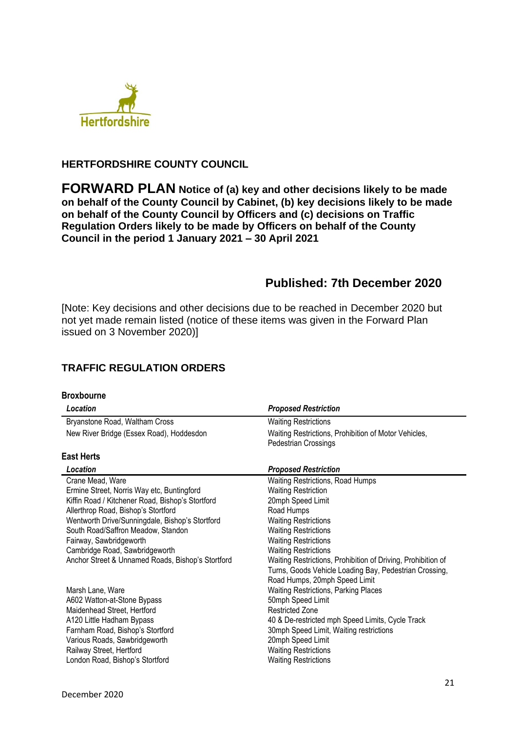

## **HERTFORDSHIRE COUNTY COUNCIL**

**FORWARD PLAN Notice of (a) key and other decisions likely to be made on behalf of the County Council by Cabinet, (b) key decisions likely to be made on behalf of the County Council by Officers and (c) decisions on Traffic Regulation Orders likely to be made by Officers on behalf of the County Council in the period 1 January 2021 – 30 April 2021**

# **Published: 7th December 2020**

[Note: Key decisions and other decisions due to be reached in December 2020 but not yet made remain listed (notice of these items was given in the Forward Plan issued on 3 November 2020)]

# **TRAFFIC REGULATION ORDERS**

| <b>Broxbourne</b>                                                                                                                                             |                                                                                                                                                                                |
|---------------------------------------------------------------------------------------------------------------------------------------------------------------|--------------------------------------------------------------------------------------------------------------------------------------------------------------------------------|
| Location                                                                                                                                                      | <b>Proposed Restriction</b>                                                                                                                                                    |
| Bryanstone Road, Waltham Cross                                                                                                                                | <b>Waiting Restrictions</b>                                                                                                                                                    |
| New River Bridge (Essex Road), Hoddesdon                                                                                                                      | Waiting Restrictions, Prohibition of Motor Vehicles,<br>Pedestrian Crossings                                                                                                   |
| <b>East Herts</b>                                                                                                                                             |                                                                                                                                                                                |
| Location                                                                                                                                                      | <b>Proposed Restriction</b>                                                                                                                                                    |
| Crane Mead, Ware<br>Ermine Street, Norris Way etc, Buntingford                                                                                                | <b>Waiting Restrictions, Road Humps</b><br><b>Waiting Restriction</b>                                                                                                          |
| Kiffin Road / Kitchener Road, Bishop's Stortford                                                                                                              | 20mph Speed Limit                                                                                                                                                              |
| Allerthrop Road, Bishop's Stortford<br>Wentworth Drive/Sunningdale, Bishop's Stortford                                                                        | Road Humps<br><b>Waiting Restrictions</b>                                                                                                                                      |
| South Road/Saffron Meadow, Standon                                                                                                                            | <b>Waiting Restrictions</b>                                                                                                                                                    |
| Fairway, Sawbridgeworth<br>Cambridge Road, Sawbridgeworth                                                                                                     | <b>Waiting Restrictions</b><br><b>Waiting Restrictions</b>                                                                                                                     |
| Anchor Street & Unnamed Roads, Bishop's Stortford                                                                                                             | Waiting Restrictions, Prohibition of Driving, Prohibition of<br>Turns, Goods Vehicle Loading Bay, Pedestrian Crossing,<br>Road Humps, 20mph Speed Limit                        |
| Marsh Lane, Ware                                                                                                                                              | Waiting Restrictions, Parking Places                                                                                                                                           |
| A602 Watton-at-Stone Bypass<br>Maidenhead Street, Hertford                                                                                                    | 50mph Speed Limit<br><b>Restricted Zone</b>                                                                                                                                    |
| A120 Little Hadham Bypass<br>Farnham Road, Bishop's Stortford<br>Various Roads, Sawbridgeworth<br>Railway Street, Hertford<br>London Road, Bishop's Stortford | 40 & De-restricted mph Speed Limits, Cycle Track<br>30mph Speed Limit, Waiting restrictions<br>20mph Speed Limit<br><b>Waiting Restrictions</b><br><b>Waiting Restrictions</b> |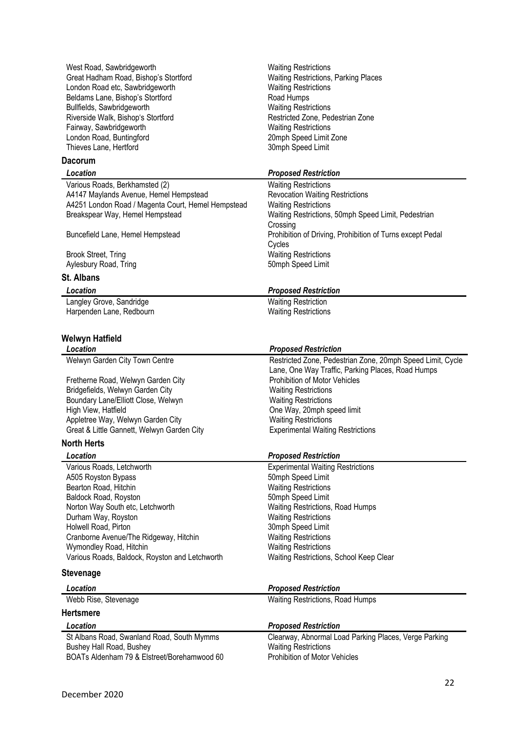West Road, Sawbridgeworth West Road, Sawbridgeworth Waiting Restrictions Great Hadham Road, Bishop's Stortford Waiting Restrictions, Parking Places London Road etc, Sawbridgeworth Waiting Restrictions Beldams Lane, Bishop's Stortford Road Humps Bullfields, Sawbridgeworth Waiting Restrictions Riverside Walk, Bishop's Stortford **Restricted Zone, Pedestrian Zone** Fairway, Sawbridgeworth Waiting Restrictions London Road, Buntingford 20mph Speed Limit Zone Thieves Lane, Hertford

### **Dacorum**

Various Roads, Berkhamsted (2) Waiting Restrictions A4147 Maylands Avenue, Hemel Hempstead Revocation Waiting Restrictions<br>A4251 London Road / Magenta Court, Hemel Hempstead Waiting Restrictions A4251 London Road / Magenta Court, Hemel Hempstead Breakspear Way, Hemel Hempstead

Brook Street, Tring Waiting Restrictions<br>
Aylesbury Road, Tring New York 1999<br>
Somph Speed Limit Aylesbury Road, Tring

## **St. Albans**

Langley Grove, Sandridge Waiting Restriction Harpenden Lane, Redbourn Waiting Restrictions

### **Welwyn Hatfield**

| Location                                   | <b>Proposed Restriction</b>                                |
|--------------------------------------------|------------------------------------------------------------|
| Welwyn Garden City Town Centre             | Restricted Zone, Pedestrian Zone, 20mph Speed Limit, Cycle |
|                                            | Lane, One Way Traffic, Parking Places, Road Humps          |
| Fretherne Road, Welwyn Garden City         | <b>Prohibition of Motor Vehicles</b>                       |
| Bridgefields, Welwyn Garden City           | <b>Waiting Restrictions</b>                                |
| Boundary Lane/Elliott Close, Welwyn        | <b>Waiting Restrictions</b>                                |
| High View, Hatfield                        | One Way, 20mph speed limit                                 |
| Appletree Way, Welwyn Garden City          | <b>Waiting Restrictions</b>                                |
| Great & Little Gannett, Welwyn Garden City | <b>Experimental Waiting Restrictions</b>                   |
|                                            |                                                            |

## **North Herts**

| Location                                       | <b>Proposed Restriction</b>              |
|------------------------------------------------|------------------------------------------|
| Various Roads, Letchworth                      | <b>Experimental Waiting Restrictions</b> |
| A505 Royston Bypass                            | 50mph Speed Limit                        |
| Bearton Road, Hitchin                          | <b>Waiting Restrictions</b>              |
| Baldock Road, Royston                          | 50mph Speed Limit                        |
| Norton Way South etc, Letchworth               | <b>Waiting Restrictions, Road Humps</b>  |
| Durham Way, Royston                            | <b>Waiting Restrictions</b>              |
| Holwell Road, Pirton                           | 30mph Speed Limit                        |
| Cranborne Avenue/The Ridgeway, Hitchin         | <b>Waiting Restrictions</b>              |
| Wymondley Road, Hitchin                        | <b>Waiting Restrictions</b>              |
| Various Roads, Baldock, Royston and Letchworth | Waiting Restrictions, School Keep Clear  |

### **Stevenage**

| Location                                                                                                              | <b>Proposed Restriction</b>                                                                                           |
|-----------------------------------------------------------------------------------------------------------------------|-----------------------------------------------------------------------------------------------------------------------|
| Webb Rise, Stevenage                                                                                                  | <b>Waiting Restrictions, Road Humps</b>                                                                               |
| <b>Hertsmere</b>                                                                                                      |                                                                                                                       |
| Location                                                                                                              | <b>Proposed Restriction</b>                                                                                           |
| St Albans Road, Swanland Road, South Mymms<br>Bushey Hall Road, Bushey<br>BOATs Aldenham 79 & Elstreet/Borehamwood 60 | Clearway, Abnormal Load Parking Places, Verge Parking<br><b>Waiting Restrictions</b><br>Prohibition of Motor Vehicles |

### *Location Proposed Restriction*

Waiting Restrictions, 50mph Speed Limit, Pedestrian **Crossing** Buncefield Lane, Hemel Hempstead Prohibition of Driving, Prohibition of Turns except Pedal Cycles

### *Location Proposed Restriction*